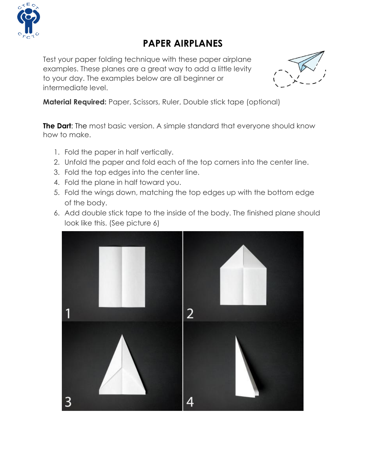

## **PAPER AIRPLANES**

Test your paper folding technique with these paper airplane examples. These planes are a great way to add a little levity to your day. The examples below are all beginner or intermediate level.



**Material Required:** Paper, Scissors, Ruler, Double stick tape (optional)

**The Dart**: The most basic version. A simple standard that everyone should know how to make.

- 1. Fold the paper in half vertically.
- 2. Unfold the paper and fold each of the top corners into the center line.
- 3. Fold the top edges into the center line.
- 4. Fold the plane in half toward you.
- 5. Fold the wings down, matching the top edges up with the bottom edge of the body.
- 6. Add double stick tape to the inside of the body. The finished plane should look like this. (See picture 6)

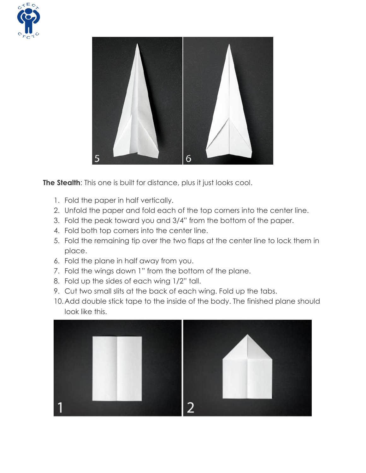



**The Stealth**: This one is built for distance, plus it just looks cool.

- 1. Fold the paper in half vertically.
- 2. Unfold the paper and fold each of the top corners into the center line.
- 3. Fold the peak toward you and 3/4" from the bottom of the paper.
- 4. Fold both top corners into the center line.
- 5. Fold the remaining tip over the two flaps at the center line to lock them in place.
- 6. Fold the plane in half away from you.
- 7. Fold the wings down 1" from the bottom of the plane.
- 8. Fold up the sides of each wing 1/2" tall.
- 9. Cut two small slits at the back of each wing. Fold up the tabs.
- 10.Add double stick tape to the inside of the body. The finished plane should look like this.

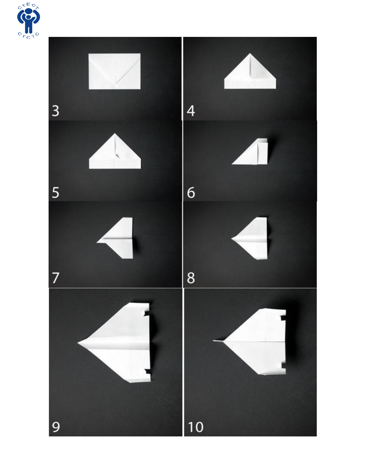

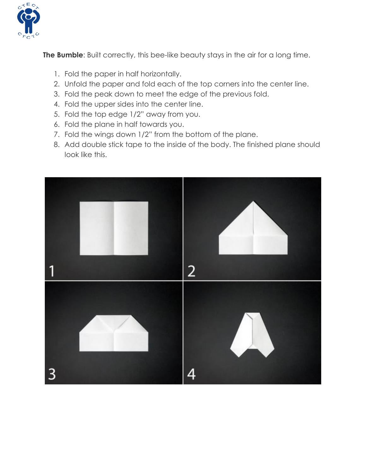

**The Bumble**: Built correctly, this bee-like beauty stays in the air for a long time.

- 1. Fold the paper in half horizontally.
- 2. Unfold the paper and fold each of the top corners into the center line.
- 3. Fold the peak down to meet the edge of the previous fold.
- 4. Fold the upper sides into the center line.
- 5. Fold the top edge 1/2" away from you.
- 6. Fold the plane in half towards you.
- 7. Fold the wings down 1/2" from the bottom of the plane.
- 8. Add double stick tape to the inside of the body. The finished plane should look like this.